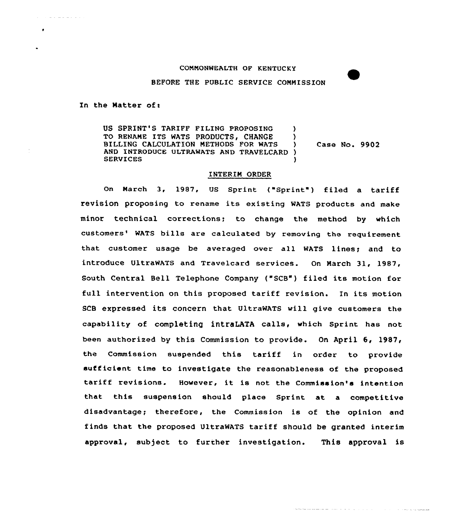## CONNONWEALTH OF KENTUCKY

BEFORE THE PUBLIC SERVICE COMMISSION

In the Matter of:

and a state of the

 $\bullet$ 

US SPRINT'S TARIFF FILING PROPOSING )<br>TO RENAME ITS WATS PRODUCTS. CHANGE ) TO RENAME ITS WATS PRODUCTS, CHANGE )<br>BILLING CALCULATION METHODS FOR WATS ) BILLING CALCULATION METHODS FOR WATS ) AND INTRODUCE ULTRAWATS AND TRAVELCARD } **SERVICES** Case No. 9902

## INTERIM ORDER

On March 3, 1987, US Sprint ("Sprint") filed a tariff revision proposing to rename its existing WATS products and make minor technical corrections; to change the method by which customers' WATS bills are calculated by removing the requirement that customer usage be averaged over all WATS lines; and to introduce UltraWATS and Travelcard services. On March 31, 1987, South Central Bell Telephone Company ("SCB") filed its motion for full intervention on this proposed tariff revision. In its motion SCB expressed its concern that UltraWATS vill give customers the capability of completing intraLATA calls, which Sprint has not been authorized by this Commission to provide. On April 6, 1987, the Commission suspended this tariff in order to provide sufficient time to investigate the reasonableness of the proposed tariff revisions. However, it is not the Commission's intention that this suspension should place Sprint at a competitive disadvantage; therefore, the Commission is of the opinion and finds that the proposed UltraWATS tariff should be granted interim approval, subject to further investigation. This approval is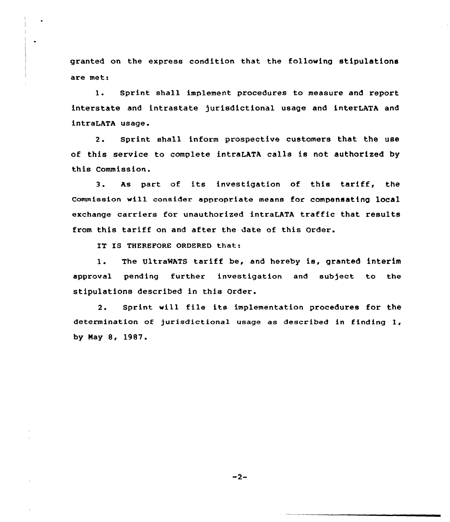granted on the express condition that the following stipulations are met:

1. Sprint shall implement procedures to measure and report interstate and intrastate jurisdictional usage and interLATA and intraLATA usage.

2. sprint shall inform prospective customers that the use of this service to complete intraLATA calls is not authorised by this Commission,

3. As part of its investigation of this tariff, the commission vi11 consider appropriate means for compensating local exchange carriers for unauthorized intraLATA traffic that results from this tariff on and after the date of this Order.

IT IS THEREFORE ORDERED that:

l. The UltraMATS tariff be, and hereby is, granted interim approval pending further investigation and subject to the stipulations described in this Order.

2. Sprint vill file its implementation procedures for the determination of jurisdictional usage as described in finding 1, by Nay 8, 1987.

 $-2-$